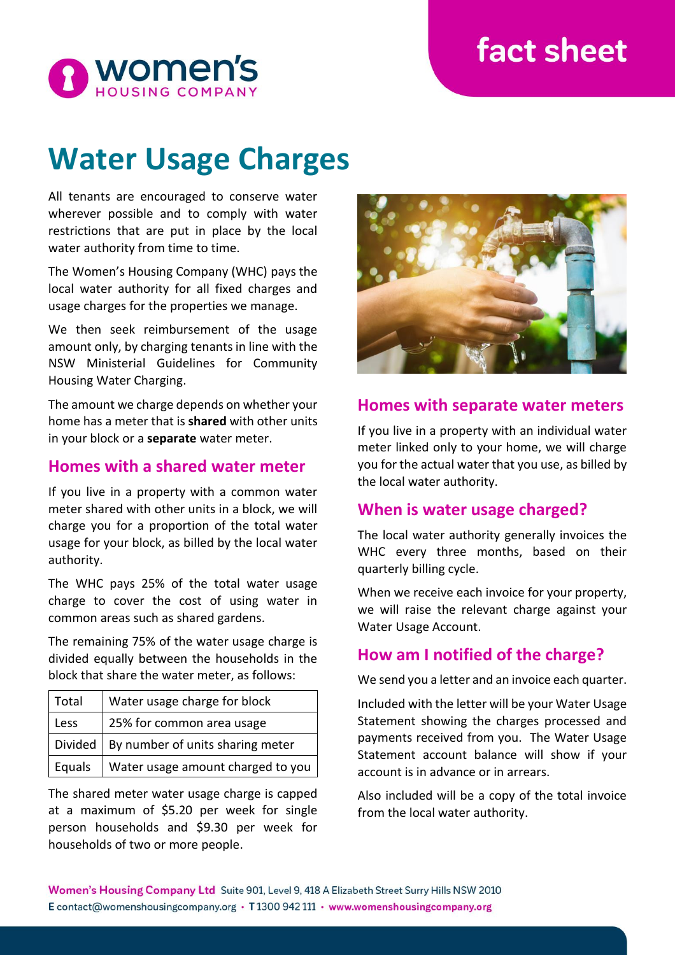# fact sheet



# **Water Usage Charges**

All tenants are encouraged to conserve water wherever possible and to comply with water restrictions that are put in place by the local water authority from time to time.

The Women's Housing Company (WHC) pays the local water authority for all fixed charges and usage charges for the properties we manage.

We then seek reimbursement of the usage amount only, by charging tenants in line with the NSW Ministerial Guidelines for Community Housing Water Charging.

The amount we charge depends on whether your home has a meter that is **shared** with other units in your block or a **separate** water meter.

#### **Homes with a shared water meter**

If you live in a property with a common water meter shared with other units in a block, we will charge you for a proportion of the total water usage for your block, as billed by the local water authority.

The WHC pays 25% of the total water usage charge to cover the cost of using water in common areas such as shared gardens.

The remaining 75% of the water usage charge is divided equally between the households in the block that share the water meter, as follows:

| Total   | Water usage charge for block      |
|---------|-----------------------------------|
| Less    | 25% for common area usage         |
| Divided | By number of units sharing meter  |
| Equals  | Water usage amount charged to you |

The shared meter water usage charge is capped at a maximum of \$5.20 per week for single person households and \$9.30 per week for households of two or more people.



#### **Homes with separate water meters**

If you live in a property with an individual water meter linked only to your home, we will charge you for the actual water that you use, as billed by the local water authority.

#### **When is water usage charged?**

The local water authority generally invoices the WHC every three months, based on their quarterly billing cycle.

When we receive each invoice for your property, we will raise the relevant charge against your Water Usage Account.

#### **How am I notified of the charge?**

We send you a letter and an invoice each quarter.

Included with the letter will be your Water Usage Statement showing the charges processed and payments received from you. The Water Usage Statement account balance will show if your account is in advance or in arrears.

Also included will be a copy of the total invoice from the local water authority.